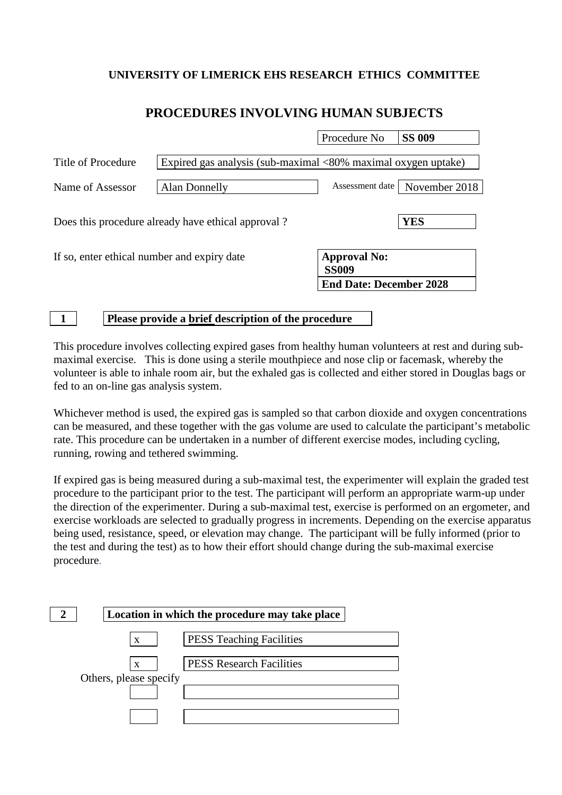## **UNIVERSITY OF LIMERICK EHS RESEARCH ETHICS COMMITTEE**

## **PROCEDURES INVOLVING HUMAN SUBJECTS**

┑

|                                                    | Procedure No | <b>SS 009</b>                                                                                                                                                       |
|----------------------------------------------------|--------------|---------------------------------------------------------------------------------------------------------------------------------------------------------------------|
|                                                    |              |                                                                                                                                                                     |
| <b>Alan Donnelly</b>                               |              | November 2018                                                                                                                                                       |
| Does this procedure already have ethical approval? |              | <b>YES</b>                                                                                                                                                          |
| If so, enter ethical number and expiry date        |              |                                                                                                                                                                     |
|                                                    |              |                                                                                                                                                                     |
|                                                    |              | Expired gas analysis (sub-maximal $\langle 80\%$ maximal oxygen uptake)<br>Assessment date<br><b>Approval No:</b><br><b>SS009</b><br><b>End Date: December 2028</b> |

**1 Please provide a brief description of the procedure**

This procedure involves collecting expired gases from healthy human volunteers at rest and during submaximal exercise. This is done using a sterile mouthpiece and nose clip or facemask, whereby the volunteer is able to inhale room air, but the exhaled gas is collected and either stored in Douglas bags or fed to an on-line gas analysis system.

Whichever method is used, the expired gas is sampled so that carbon dioxide and oxygen concentrations can be measured, and these together with the gas volume are used to calculate the participant's metabolic rate. This procedure can be undertaken in a number of different exercise modes, including cycling, running, rowing and tethered swimming.

If expired gas is being measured during a sub-maximal test, the experimenter will explain the graded test procedure to the participant prior to the test. The participant will perform an appropriate warm-up under the direction of the experimenter. During a sub-maximal test, exercise is performed on an ergometer, and exercise workloads are selected to gradually progress in increments. Depending on the exercise apparatus being used, resistance, speed, or elevation may change. The participant will be fully informed (prior to the test and during the test) as to how their effort should change during the sub-maximal exercise procedure.

|                        | Location in which the procedure may take place |
|------------------------|------------------------------------------------|
| $\mathbf{X}$           | <b>PESS Teaching Facilities</b>                |
| X                      | <b>PESS Research Facilities</b>                |
| Others, please specify |                                                |
|                        |                                                |
|                        |                                                |
|                        |                                                |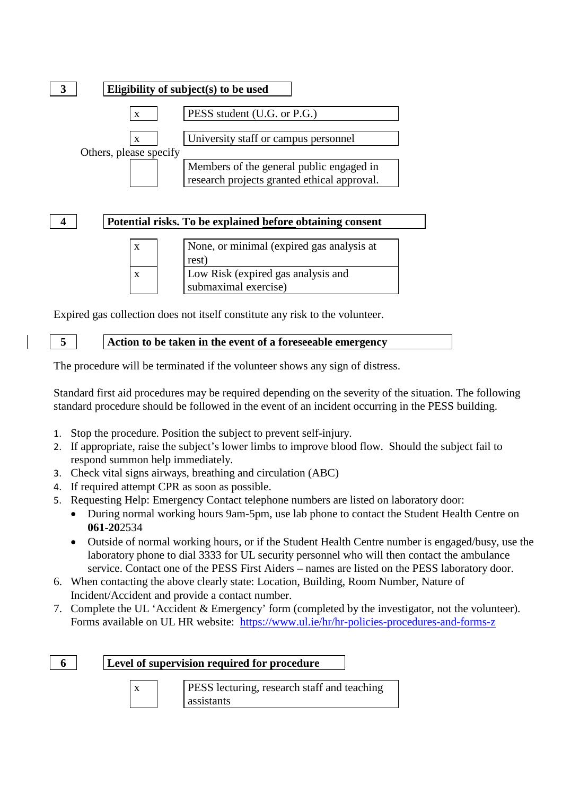

**4 Potential risks. To be explained before obtaining consent**



Expired gas collection does not itself constitute any risk to the volunteer.

**5 Action to be taken in the event of a foreseeable emergency**

The procedure will be terminated if the volunteer shows any sign of distress.

Standard first aid procedures may be required depending on the severity of the situation. The following standard procedure should be followed in the event of an incident occurring in the PESS building.

- 1. Stop the procedure. Position the subject to prevent self-injury.
- 2. If appropriate, raise the subject's lower limbs to improve blood flow. Should the subject fail to respond summon help immediately.
- 3. Check vital signs airways, breathing and circulation (ABC)
- 4. If required attempt CPR as soon as possible.
- 5. Requesting Help: Emergency Contact telephone numbers are listed on laboratory door:
	- During normal working hours 9am-5pm, use lab phone to contact the Student Health Centre on **061-20**2534
	- Outside of normal working hours, or if the Student Health Centre number is engaged/busy, use the laboratory phone to dial 3333 for UL security personnel who will then contact the ambulance service. Contact one of the PESS First Aiders – names are listed on the PESS laboratory door.
- 6. When contacting the above clearly state: Location, Building, Room Number, Nature of Incident/Accident and provide a contact number.
- 7. Complete the UL 'Accident & Emergency' form (completed by the investigator, not the volunteer). Forms available on UL HR website: <https://www.ul.ie/hr/hr-policies-procedures-and-forms-z>

**6 Level of supervision required for procedure**

x PESS lecturing, research staff and teaching assistants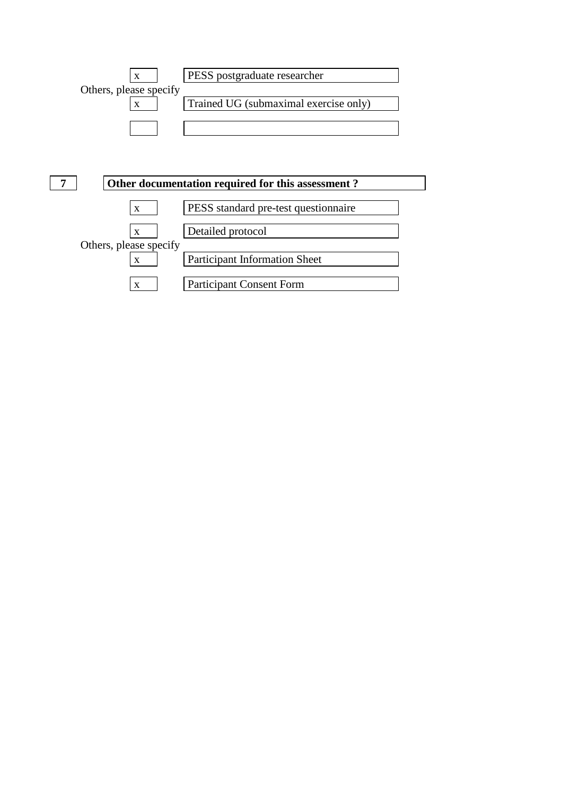